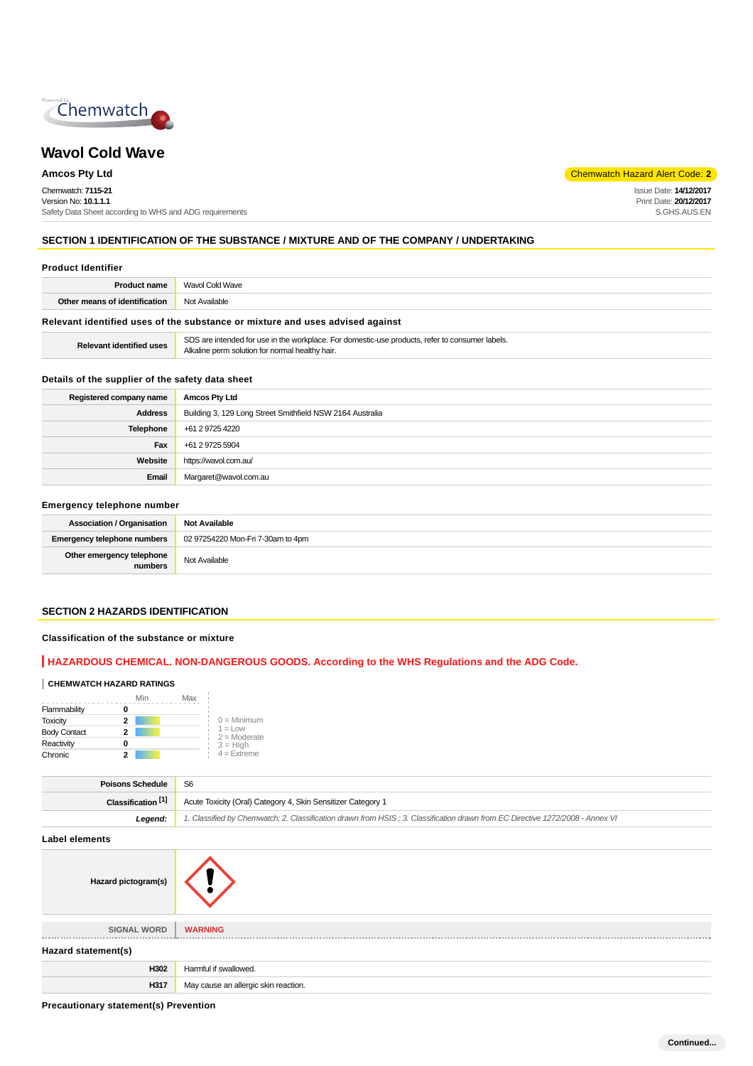

# **Wavol Cold Wave**

Chemwatch: **7115-21** Version No: **10.1.1.1** Safety Data Sheet according to WHS and ADG requirements

**Amcos Pty Ltd** Chemwatch Hazard Alert Code: **2** 

Issue Date: **14/12/2017** Print Date: **20/12/2017** S.GHS.AUS.EN

### **SECTION 1 IDENTIFICATION OF THE SUBSTANCE / MIXTURE AND OF THE COMPANY / UNDERTAKING**

| <b>Product Identifier</b> |
|---------------------------|
|                           |

| <b>Product name</b>                                                           | <b>Wavol Cold Wave</b> |  |
|-------------------------------------------------------------------------------|------------------------|--|
| <b>Other means of identification</b> Not Available                            |                        |  |
| Relevant identified uses of the substance or mixture and uses advised against |                        |  |

| <b>Relevant identified uses</b> | SDS are intended for use in the workplace. For domestic-use products, refer to consumer labels. |
|---------------------------------|-------------------------------------------------------------------------------------------------|
|                                 | Alkaline perm solution for normal healthy hair.                                                 |

### **Details of the supplier of the safety data sheet**

| Registered company name | <b>Amcos Pty Ltd</b>                                      |  |
|-------------------------|-----------------------------------------------------------|--|
| <b>Address</b>          | Building 3, 129 Long Street Smithfield NSW 2164 Australia |  |
| Telephone               | +61 2 9725 4220                                           |  |
| Fax                     | +61 2 9725 5904                                           |  |
| Website                 | https://wavol.com.au/                                     |  |
| Email                   | Margaret@wavol.com.au                                     |  |

#### **Emergency telephone number**

| <b>Association / Organisation</b>    | <b>Not Available</b>              |
|--------------------------------------|-----------------------------------|
| Emergency telephone numbers          | 02 97254220 Mon-Fri 7-30am to 4pm |
| Other emergency telephone<br>numbers | Not Available                     |

#### **SECTION 2 HAZARDS IDENTIFICATION**

#### **Classification of the substance or mixture**

### **HAZARDOUS CHEMICAL. NON-DANGEROUS GOODS. According to the WHS Regulations and the ADG Code.**

### **CHEMWATCH HAZARD RATINGS**

|                     | Min | Max        |                |
|---------------------|-----|------------|----------------|
| Flammability        |     |            |                |
| <b>Toxicity</b>     | 2   |            | $0 =$ Minimum  |
| <b>Body Contact</b> | 2   | $1 = 1$ OW | $2 =$ Moderate |
| Reactivity          |     | $3 = High$ |                |
| Chronic             | 2   |            | $4 =$ Extreme  |

| <b>Poisons Schedule</b>                                                                                                                  | S6                                                           |  |
|------------------------------------------------------------------------------------------------------------------------------------------|--------------------------------------------------------------|--|
| Classification <sup>[1]</sup>                                                                                                            | Acute Toxicity (Oral) Category 4, Skin Sensitizer Category 1 |  |
| 1. Classified by Chemwatch; 2. Classification drawn from HSIS; 3. Classification drawn from EC Directive 1272/2008 - Annex VI<br>Leaend: |                                                              |  |
|                                                                                                                                          |                                                              |  |

**Label elements**

| Hazard pictogram(s) |                                      |
|---------------------|--------------------------------------|
|                     |                                      |
| <b>SIGNAL WORD</b>  | <b>WARNING</b>                       |
| Hazard statement(s) |                                      |
| H302                | Harmful if swallowed.                |
| H317                | May cause an allergic skin reaction. |
|                     |                                      |

**Precautionary statement(s) Prevention**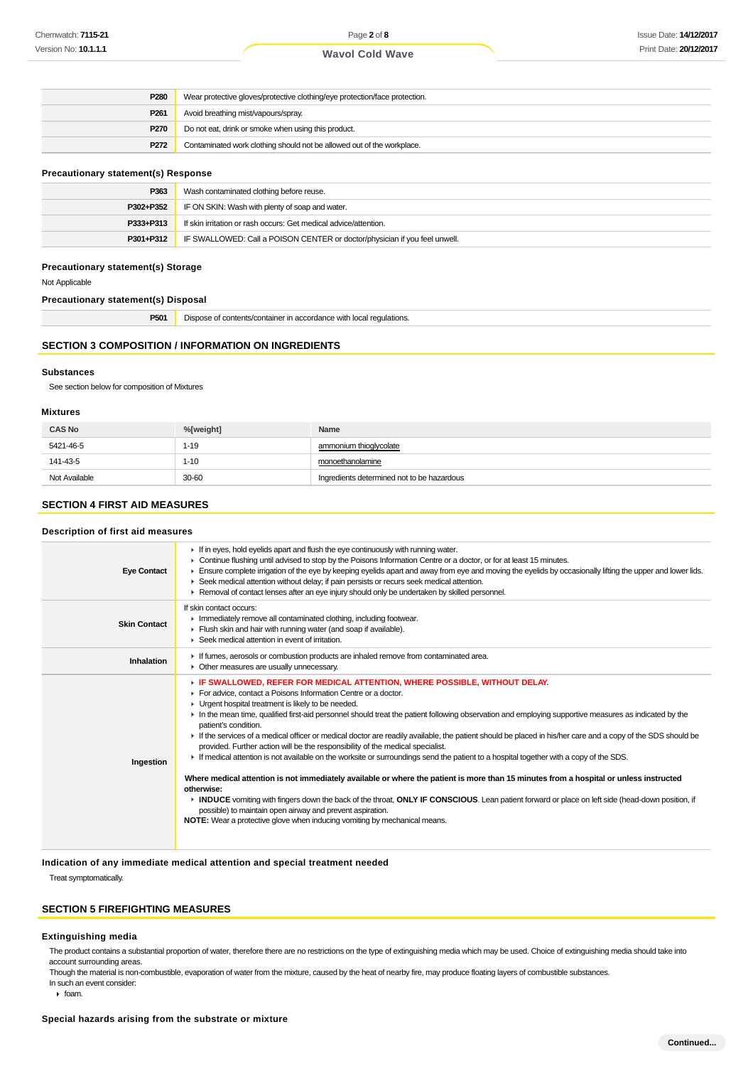| P <sub>280</sub>                                                               | Wear protective gloves/protective clothing/eye protection/face protection. |  |
|--------------------------------------------------------------------------------|----------------------------------------------------------------------------|--|
| P <sub>261</sub>                                                               | Avoid breathing mist/vapours/spray.                                        |  |
| <b>P270</b><br>Do not eat, drink or smoke when using this product.             |                                                                            |  |
| Contaminated work clothing should not be allowed out of the workplace.<br>P272 |                                                                            |  |

#### **Precautionary statement(s) Response**

| P363      | Wash contaminated clothing before reuse.                                   |  |
|-----------|----------------------------------------------------------------------------|--|
| P302+P352 | IF ON SKIN: Wash with plenty of soap and water.                            |  |
| P333+P313 | If skin irritation or rash occurs: Get medical advice/attention.           |  |
| P301+P312 | IF SWALLOWED: Call a POISON CENTER or doctor/physician if you feel unwell. |  |

#### **Precautionary statement(s) Storage**

Not Applicable

#### **Precautionary statement(s) Disposal**

| P501 | $\sim$<br>Dispose of contents/container in accordance with local regulations. |
|------|-------------------------------------------------------------------------------|
|------|-------------------------------------------------------------------------------|

### **SECTION 3 COMPOSITION / INFORMATION ON INGREDIENTS**

#### **Substances**

See section below for composition of Mixtures

#### **Mixtures**

| <b>CAS No</b> | %[weight] | Name                                       |
|---------------|-----------|--------------------------------------------|
| 5421-46-5     | 1-19      | ammonium thioglycolate                     |
| 141-43-5      | $1 - 10$  | monoethanolamine                           |
| Not Available | 30-60     | Ingredients determined not to be hazardous |

### **SECTION 4 FIRST AID MEASURES**

#### **Description of first aid measures**

| <b>Eye Contact</b>  | $\blacktriangleright$ If in eyes, hold eyelids apart and flush the eye continuously with running water.<br>► Continue flushing until advised to stop by the Poisons Information Centre or a doctor, or for at least 15 minutes.<br>Ensure complete irrigation of the eye by keeping eyelids apart and away from eye and moving the eyelids by occasionally lifting the upper and lower lids.<br>▶ Seek medical attention without delay; if pain persists or recurs seek medical attention.<br>▶ Removal of contact lenses after an eye injury should only be undertaken by skilled personnel.                                                                                                                                                                                                                                                                                                                                                                                                                                                                                                                                                                                                                                              |
|---------------------|--------------------------------------------------------------------------------------------------------------------------------------------------------------------------------------------------------------------------------------------------------------------------------------------------------------------------------------------------------------------------------------------------------------------------------------------------------------------------------------------------------------------------------------------------------------------------------------------------------------------------------------------------------------------------------------------------------------------------------------------------------------------------------------------------------------------------------------------------------------------------------------------------------------------------------------------------------------------------------------------------------------------------------------------------------------------------------------------------------------------------------------------------------------------------------------------------------------------------------------------|
| <b>Skin Contact</b> | If skin contact occurs:<br>Inmediately remove all contaminated clothing, including footwear.<br>Flush skin and hair with running water (and soap if available).<br>Seek medical attention in event of irritation.                                                                                                                                                                                                                                                                                                                                                                                                                                                                                                                                                                                                                                                                                                                                                                                                                                                                                                                                                                                                                          |
| Inhalation          | If fumes, aerosols or combustion products are inhaled remove from contaminated area.<br>• Other measures are usually unnecessary.                                                                                                                                                                                                                                                                                                                                                                                                                                                                                                                                                                                                                                                                                                                                                                                                                                                                                                                                                                                                                                                                                                          |
| Ingestion           | F IF SWALLOWED, REFER FOR MEDICAL ATTENTION, WHERE POSSIBLE, WITHOUT DELAY.<br>For advice, contact a Poisons Information Centre or a doctor.<br>• Urgent hospital treatment is likely to be needed.<br>In the mean time, qualified first-aid personnel should treat the patient following observation and employing supportive measures as indicated by the<br>patient's condition.<br>If the services of a medical officer or medical doctor are readily available, the patient should be placed in his/her care and a copy of the SDS should be<br>provided. Further action will be the responsibility of the medical specialist.<br>F If medical attention is not available on the worksite or surroundings send the patient to a hospital together with a copy of the SDS.<br>Where medical attention is not immediately available or where the patient is more than 15 minutes from a hospital or unless instructed<br>otherwise:<br>INDUCE vomiting with fingers down the back of the throat, ONLY IF CONSCIOUS. Lean patient forward or place on left side (head-down position, if<br>possible) to maintain open airway and prevent aspiration.<br><b>NOTE:</b> Wear a protective glove when inducing vomiting by mechanical means. |

**Indication of any immediate medical attention and special treatment needed**

Treat symptomatically.

### **SECTION 5 FIREFIGHTING MEASURES**

#### **Extinguishing media**

The product contains a substantial proportion of water, therefore there are no restrictions on the type of extinguishing media which may be used. Choice of extinguishing media should take into account surrounding areas.

Though the material is non-combustible, evaporation of water from the mixture, caused by the heat of nearby fire, may produce floating layers of combustible substances. In such an event consider:

 $\cdot$  foam.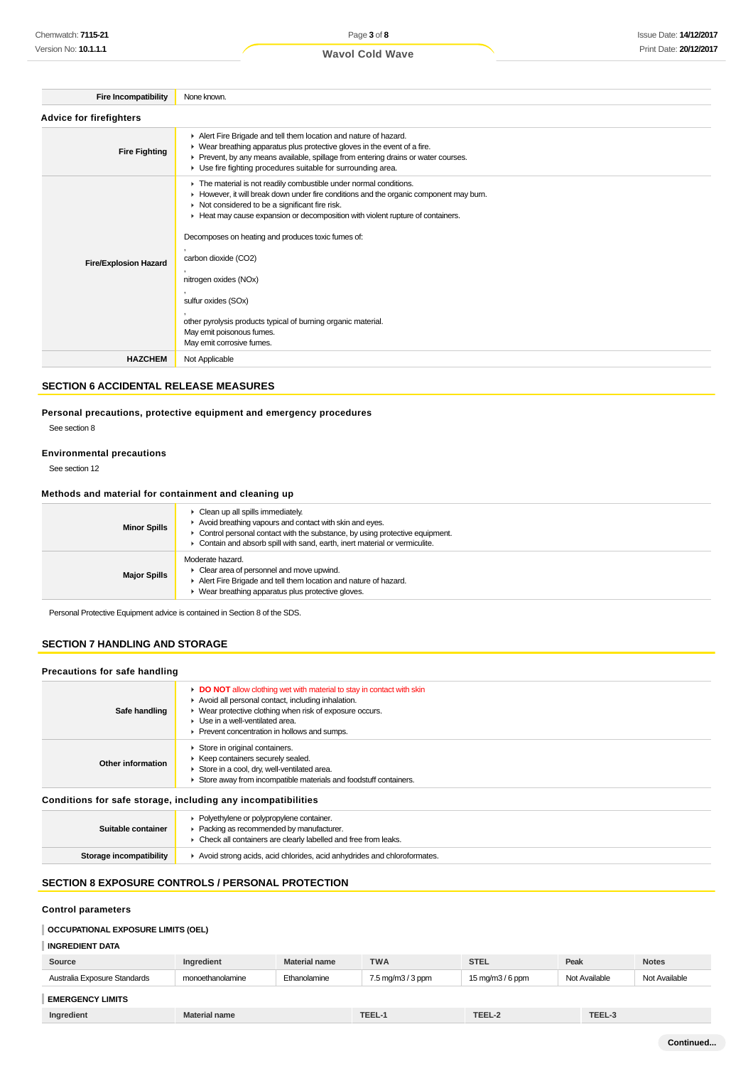| <b>Fire Incompatibility</b>    | None known.                                                                                                                                                                                                                                                                                                                                                                                                                                                                                                                                            |
|--------------------------------|--------------------------------------------------------------------------------------------------------------------------------------------------------------------------------------------------------------------------------------------------------------------------------------------------------------------------------------------------------------------------------------------------------------------------------------------------------------------------------------------------------------------------------------------------------|
| <b>Advice for firefighters</b> |                                                                                                                                                                                                                                                                                                                                                                                                                                                                                                                                                        |
| <b>Fire Fighting</b>           | Alert Fire Brigade and tell them location and nature of hazard.<br>▶ Wear breathing apparatus plus protective gloves in the event of a fire.<br>Prevent, by any means available, spillage from entering drains or water courses.<br>▶ Use fire fighting procedures suitable for surrounding area.                                                                                                                                                                                                                                                      |
| <b>Fire/Explosion Hazard</b>   | The material is not readily combustible under normal conditions.<br>► However, it will break down under fire conditions and the organic component may burn.<br>Not considered to be a significant fire risk.<br>Heat may cause expansion or decomposition with violent rupture of containers.<br>Decomposes on heating and produces toxic fumes of:<br>carbon dioxide (CO2)<br>nitrogen oxides (NOx)<br>sulfur oxides (SOx)<br>other pyrolysis products typical of burning organic material.<br>May emit poisonous fumes.<br>May emit corrosive fumes. |
| <b>HAZCHEM</b>                 | Not Applicable                                                                                                                                                                                                                                                                                                                                                                                                                                                                                                                                         |

### **SECTION 6 ACCIDENTAL RELEASE MEASURES**

### **Personal precautions, protective equipment and emergency procedures**

See section 8

#### **Environmental precautions**

See section 12

### **Methods and material for containment and cleaning up**

| <b>Minor Spills</b> | $\triangleright$ Clean up all spills immediately.<br>Avoid breathing vapours and contact with skin and eyes.<br>• Control personal contact with the substance, by using protective equipment.<br>• Contain and absorb spill with sand, earth, inert material or vermiculite. |
|---------------------|------------------------------------------------------------------------------------------------------------------------------------------------------------------------------------------------------------------------------------------------------------------------------|
| <b>Major Spills</b> | Moderate hazard.<br>$\blacktriangleright$ Clear area of personnel and move upwind.<br>Alert Fire Brigade and tell them location and nature of hazard.<br>• Wear breathing apparatus plus protective gloves.                                                                  |

Personal Protective Equipment advice is contained in Section 8 of the SDS.

### **SECTION 7 HANDLING AND STORAGE**

| Precautions for safe handling |                                                                                                                                                                                                                                                                                   |  |  |  |
|-------------------------------|-----------------------------------------------------------------------------------------------------------------------------------------------------------------------------------------------------------------------------------------------------------------------------------|--|--|--|
| Safe handling                 | <b>DO NOT</b> allow clothing wet with material to stay in contact with skin<br>Avoid all personal contact, including inhalation.<br>▶ Wear protective clothing when risk of exposure occurs.<br>▶ Use in a well-ventilated area.<br>▶ Prevent concentration in hollows and sumps. |  |  |  |
| Other information             | Store in original containers.<br>▶ Keep containers securely sealed.<br>Store in a cool, dry, well-ventilated area.<br>Store away from incompatible materials and foodstuff containers.                                                                                            |  |  |  |

### **Conditions for safe storage, including any incompatibilities**

| Suitable container      | • Polyethylene or polypropylene container.<br>• Packing as recommended by manufacturer.<br>• Check all containers are clearly labelled and free from leaks. |
|-------------------------|-------------------------------------------------------------------------------------------------------------------------------------------------------------|
| Storage incompatibility | Avoid strong acids, acid chlorides, acid anhydrides and chloroformates.                                                                                     |

## **SECTION 8 EXPOSURE CONTROLS / PERSONAL PROTECTION**

### **Control parameters**

### **OCCUPATIONAL EXPOSURE LIMITS (OEL)**

### **INGREDIENT DATA**

| Source                       | Ingredient           | <b>Material name</b> | <b>TWA</b>        | <b>STEL</b>                                        | Peak          | <b>Notes</b>  |
|------------------------------|----------------------|----------------------|-------------------|----------------------------------------------------|---------------|---------------|
| Australia Exposure Standards | monoethanolamine     | Ethanolamine         | 7.5 mg/m3 / 3 ppm | $15 \,\mathrm{mag/m}$ $\frac{3}{6} \,\mathrm{ppm}$ | Not Available | Not Available |
| <b>EMERGENCY LIMITS</b>      |                      |                      |                   |                                                    |               |               |
| Ingredient                   | <b>Material name</b> |                      | TEEL-1            | TEEL-2                                             | TEEL-3        |               |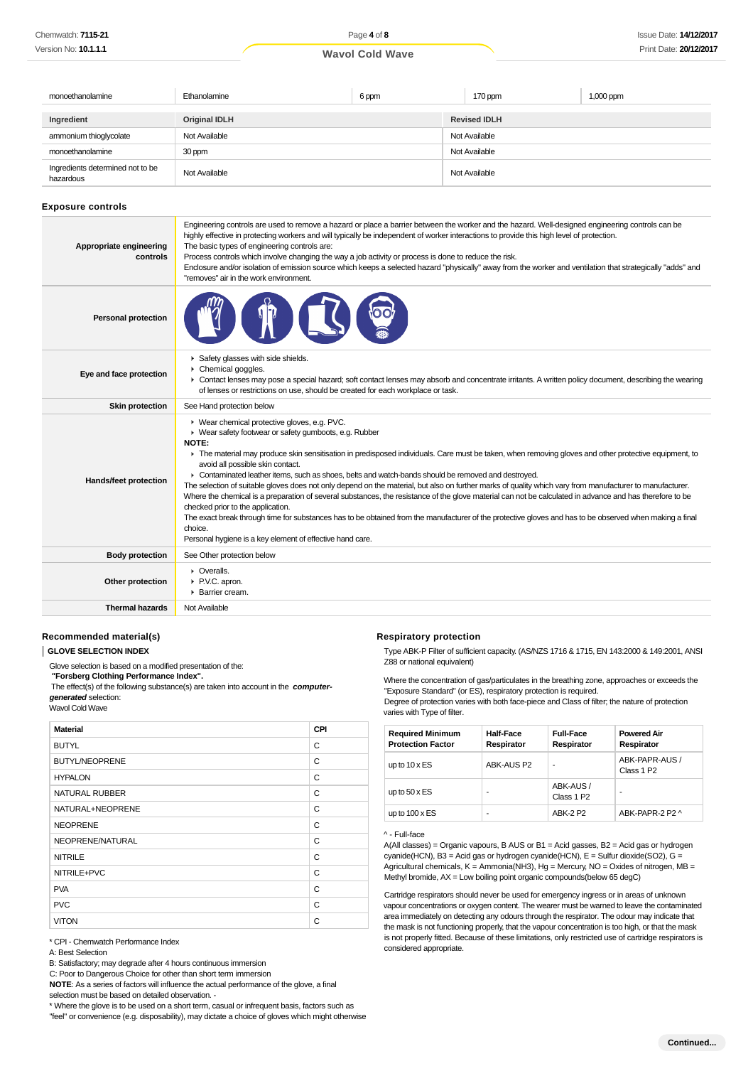| monoethanolamine                              | Ethanolamine         | 6 ppm |               | 170 ppm             | 1,000 ppm |
|-----------------------------------------------|----------------------|-------|---------------|---------------------|-----------|
| Ingredient                                    | <b>Original IDLH</b> |       |               | <b>Revised IDLH</b> |           |
| ammonium thioglycolate                        | Not Available        |       | Not Available |                     |           |
| monoethanolamine                              | 30 ppm               |       | Not Available |                     |           |
| Ingredients determined not to be<br>hazardous | Not Available        |       |               | Not Available       |           |

#### **Exposure controls**

| Appropriate engineering<br>controls | Engineering controls are used to remove a hazard or place a barrier between the worker and the hazard. Well-designed engineering controls can be<br>highly effective in protecting workers and will typically be independent of worker interactions to provide this high level of protection.<br>The basic types of engineering controls are:<br>Process controls which involve changing the way a job activity or process is done to reduce the risk.<br>Enclosure and/or isolation of emission source which keeps a selected hazard "physically" away from the worker and ventilation that strategically "adds" and<br>"removes" air in the work environment.                                                                                                                                                                                                                                                                                                                                                       |
|-------------------------------------|-----------------------------------------------------------------------------------------------------------------------------------------------------------------------------------------------------------------------------------------------------------------------------------------------------------------------------------------------------------------------------------------------------------------------------------------------------------------------------------------------------------------------------------------------------------------------------------------------------------------------------------------------------------------------------------------------------------------------------------------------------------------------------------------------------------------------------------------------------------------------------------------------------------------------------------------------------------------------------------------------------------------------|
| <b>Personal protection</b>          |                                                                                                                                                                                                                                                                                                                                                                                                                                                                                                                                                                                                                                                                                                                                                                                                                                                                                                                                                                                                                       |
| Eye and face protection             | Safety glasses with side shields.<br>Chemical goggles.<br>• Contact lenses may pose a special hazard; soft contact lenses may absorb and concentrate irritants. A written policy document, describing the wearing<br>of lenses or restrictions on use, should be created for each workplace or task.                                                                                                                                                                                                                                                                                                                                                                                                                                                                                                                                                                                                                                                                                                                  |
| <b>Skin protection</b>              | See Hand protection below                                                                                                                                                                                                                                                                                                                                                                                                                                                                                                                                                                                                                                                                                                                                                                                                                                                                                                                                                                                             |
| Hands/feet protection               | ▶ Wear chemical protective gloves, e.g. PVC.<br>▶ Wear safety footwear or safety gumboots, e.g. Rubber<br>NOTE:<br>F The material may produce skin sensitisation in predisposed individuals. Care must be taken, when removing gloves and other protective equipment, to<br>avoid all possible skin contact.<br>► Contaminated leather items, such as shoes, belts and watch-bands should be removed and destroyed.<br>The selection of suitable gloves does not only depend on the material, but also on further marks of quality which vary from manufacturer to manufacturer.<br>Where the chemical is a preparation of several substances, the resistance of the glove material can not be calculated in advance and has therefore to be<br>checked prior to the application.<br>The exact break through time for substances has to be obtained from the manufacturer of the protective gloves and has to be observed when making a final<br>choice.<br>Personal hygiene is a key element of effective hand care. |
| <b>Body protection</b>              | See Other protection below                                                                                                                                                                                                                                                                                                                                                                                                                                                                                                                                                                                                                                                                                                                                                                                                                                                                                                                                                                                            |
| Other protection                    | • Overalls.<br>P.V.C. apron.<br>▶ Barrier cream.                                                                                                                                                                                                                                                                                                                                                                                                                                                                                                                                                                                                                                                                                                                                                                                                                                                                                                                                                                      |
| <b>Thermal hazards</b>              | Not Available                                                                                                                                                                                                                                                                                                                                                                                                                                                                                                                                                                                                                                                                                                                                                                                                                                                                                                                                                                                                         |

#### **Recommended material(s)**

#### **GLOVE SELECTION INDEX**

Glove selection is based on a modified presentation of the:

 **"Forsberg Clothing Performance Index".**

The effect(s) of the following substance(s) are taken into account in the **computer-**

**generated** selection:

Wavol Cold Wave

| <b>Material</b>       | CPI |
|-----------------------|-----|
| <b>BUTYL</b>          | C   |
| <b>BUTYL/NEOPRENE</b> | C   |
| <b>HYPALON</b>        | C   |
| <b>NATURAL RUBBER</b> | C   |
| NATURAL+NEOPRENE      | C   |
| <b>NEOPRENE</b>       | C   |
| NEOPRENE/NATURAL      | C   |
| <b>NITRILE</b>        | C   |
| NITRILE+PVC           | C   |
| <b>PVA</b>            | C   |
| <b>PVC</b>            | C   |
| <b>VITON</b>          | C   |

\* CPI - Chemwatch Performance Index

A: Best Selection

B: Satisfactory; may degrade after 4 hours continuous immersion

C: Poor to Dangerous Choice for other than short term immersion **NOTE**: As a series of factors will influence the actual performance of the glove, a final

selection must be based on detailed observation. -

\* Where the glove is to be used on a short term, casual or infrequent basis, factors such as "feel" or convenience (e.g. disposability), may dictate a choice of gloves which might otherwise

#### **Respiratory protection**

Type ABK-P Filter of sufficient capacity. (AS/NZS 1716 & 1715, EN 143:2000 & 149:2001, ANSI Z88 or national equivalent)

Where the concentration of gas/particulates in the breathing zone, approaches or exceeds the "Exposure Standard" (or ES), respiratory protection is required.

Degree of protection varies with both face-piece and Class of filter; the nature of protection varies with Type of filter.

| <b>Required Minimum</b><br><b>Protection Factor</b> | Half-Face<br>Respirator | <b>Full-Face</b><br>Respirator      | <b>Powered Air</b><br>Respirator         |
|-----------------------------------------------------|-------------------------|-------------------------------------|------------------------------------------|
| up to $10 \times ES$                                | ABK-AUS P2              | ٠                                   | ABK-PAPR-AUS /<br>Class 1 P <sub>2</sub> |
| up to $50 \times ES$                                | -                       | ABK-AUS /<br>Class 1 P <sub>2</sub> | -                                        |
| up to $100 \times ES$                               |                         | <b>ARK-2 P2</b>                     | ARK-PAPR-2 P2 ^                          |

### ^ - Full-face

A(All classes) = Organic vapours, B AUS or B1 = Acid gasses, B2 = Acid gas or hydrogen cyanide(HCN), B3 = Acid gas or hydrogen cyanide(HCN), E = Sulfur dioxide(SO2), G = Agricultural chemicals, K = Ammonia(NH3), Hg = Mercury, NO = Oxides of nitrogen, MB = Methyl bromide, AX = Low boiling point organic compounds(below 65 degC)

Cartridge respirators should never be used for emergency ingress or in areas of unknown vapour concentrations or oxygen content. The wearer must be warned to leave the contaminated area immediately on detecting any odours through the respirator. The odour may indicate that the mask is not functioning properly, that the vapour concentration is too high, or that the mask is not properly fitted. Because of these limitations, only restricted use of cartridge respirators is considered appropriate.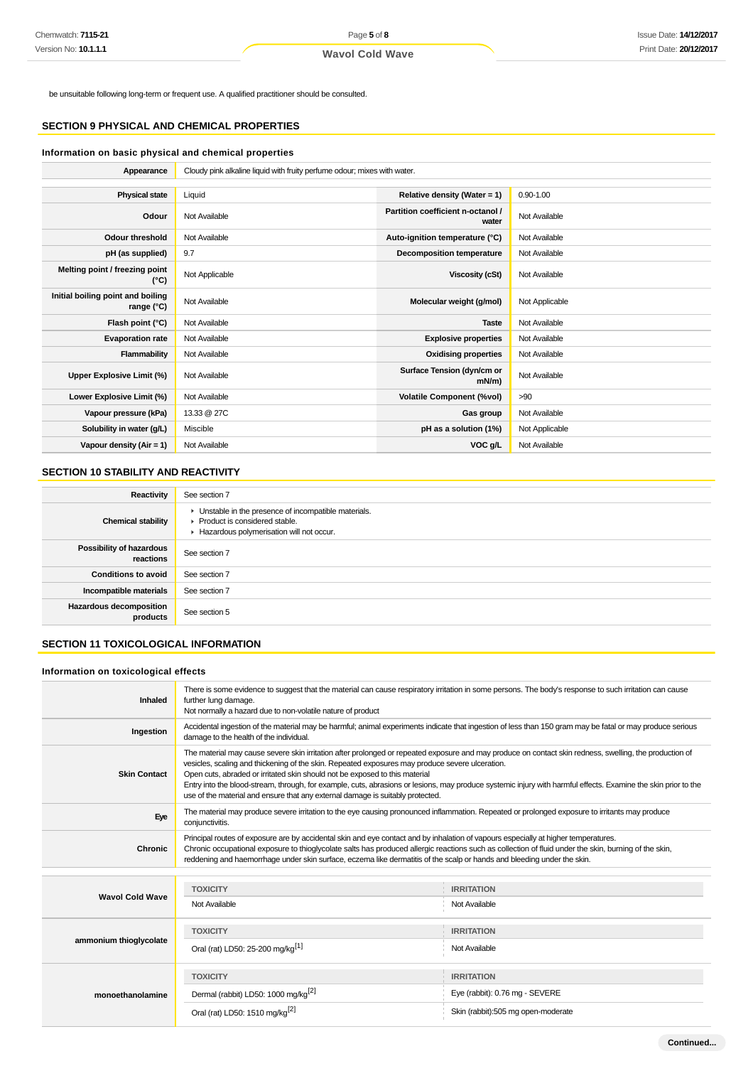be unsuitable following long-term or frequent use. A qualified practitioner should be consulted.

### **SECTION 9 PHYSICAL AND CHEMICAL PROPERTIES**

### **Information on basic physical and chemical properties**

**Appearance** Cloudy pink alkaline liquid with fruity perfume odour; mixes with water.

| <b>Physical state</b>                           | Liquid         | Relative density (Water = $1$ )            | $0.90 - 1.00$  |
|-------------------------------------------------|----------------|--------------------------------------------|----------------|
| Odour                                           | Not Available  | Partition coefficient n-octanol /<br>water | Not Available  |
| <b>Odour threshold</b>                          | Not Available  | Auto-ignition temperature (°C)             | Not Available  |
| pH (as supplied)                                | 9.7            | <b>Decomposition temperature</b>           | Not Available  |
| Melting point / freezing point<br>(°C)          | Not Applicable | Viscosity (cSt)                            | Not Available  |
| Initial boiling point and boiling<br>range (°C) | Not Available  | Molecular weight (g/mol)                   | Not Applicable |
| Flash point (°C)                                | Not Available  | <b>Taste</b>                               | Not Available  |
| <b>Evaporation rate</b>                         | Not Available  | <b>Explosive properties</b>                | Not Available  |
| Flammability                                    | Not Available  | <b>Oxidising properties</b>                | Not Available  |
| Upper Explosive Limit (%)                       | Not Available  | Surface Tension (dyn/cm or<br>$mN/m$ )     | Not Available  |
| Lower Explosive Limit (%)                       | Not Available  | <b>Volatile Component (%vol)</b>           | >90            |
| Vapour pressure (kPa)                           | 13.33 @ 27C    | Gas group                                  | Not Available  |
| Solubility in water (g/L)                       | Miscible       | pH as a solution (1%)                      | Not Applicable |
| Vapour density (Air = 1)                        | Not Available  | VOC g/L                                    | Not Available  |

### **SECTION 10 STABILITY AND REACTIVITY**

| Reactivity                                   | See section 7                                                                                                                        |
|----------------------------------------------|--------------------------------------------------------------------------------------------------------------------------------------|
| <b>Chemical stability</b>                    | • Unstable in the presence of incompatible materials.<br>▶ Product is considered stable.<br>Hazardous polymerisation will not occur. |
| <b>Possibility of hazardous</b><br>reactions | See section 7                                                                                                                        |
| <b>Conditions to avoid</b>                   | See section 7                                                                                                                        |
| Incompatible materials                       | See section 7                                                                                                                        |
| <b>Hazardous decomposition</b><br>products   | See section 5                                                                                                                        |

### **SECTION 11 TOXICOLOGICAL INFORMATION**

### **Information on toxicological effects**

| Inhaled                | There is some evidence to suggest that the material can cause respiratory irritation in some persons. The body's response to such irritation can cause<br>further lung damage.<br>Not normally a hazard due to non-volatile nature of product                                                                                                                                                                                                                                                                                                                                                 |                                                                                           |  |
|------------------------|-----------------------------------------------------------------------------------------------------------------------------------------------------------------------------------------------------------------------------------------------------------------------------------------------------------------------------------------------------------------------------------------------------------------------------------------------------------------------------------------------------------------------------------------------------------------------------------------------|-------------------------------------------------------------------------------------------|--|
| Ingestion              | Accidental ingestion of the material may be harmful; animal experiments indicate that ingestion of less than 150 gram may be fatal or may produce serious<br>damage to the health of the individual.                                                                                                                                                                                                                                                                                                                                                                                          |                                                                                           |  |
| <b>Skin Contact</b>    | The material may cause severe skin irritation after prolonged or repeated exposure and may produce on contact skin redness, swelling, the production of<br>vesicles, scaling and thickening of the skin. Repeated exposures may produce severe ulceration.<br>Open cuts, abraded or irritated skin should not be exposed to this material<br>Entry into the blood-stream, through, for example, cuts, abrasions or lesions, may produce systemic injury with harmful effects. Examine the skin prior to the<br>use of the material and ensure that any external damage is suitably protected. |                                                                                           |  |
| Eye                    | The material may produce severe irritation to the eye causing pronounced inflammation. Repeated or prolonged exposure to irritants may produce<br>conjunctivitis.                                                                                                                                                                                                                                                                                                                                                                                                                             |                                                                                           |  |
| <b>Chronic</b>         | Principal routes of exposure are by accidental skin and eye contact and by inhalation of vapours especially at higher temperatures.<br>Chronic occupational exposure to thioglycolate salts has produced allergic reactions such as collection of fluid under the skin, burning of the skin,<br>reddening and haemorrhage under skin surface, eczema like dermatitis of the scalp or hands and bleeding under the skin.                                                                                                                                                                       |                                                                                           |  |
| <b>Wavol Cold Wave</b> | <b>TOXICITY</b><br>Not Available                                                                                                                                                                                                                                                                                                                                                                                                                                                                                                                                                              | <b>IRRITATION</b><br>Not Available                                                        |  |
| ammonium thioglycolate | <b>TOXICITY</b><br>Oral (rat) LD50: 25-200 mg/kg <sup>[1]</sup>                                                                                                                                                                                                                                                                                                                                                                                                                                                                                                                               | <b>IRRITATION</b><br>Not Available                                                        |  |
| monoethanolamine       | <b>TOXICITY</b><br>Dermal (rabbit) LD50: 1000 mg/kg <sup>[2]</sup><br>Oral (rat) LD50: 1510 mg/kg <sup>[2]</sup>                                                                                                                                                                                                                                                                                                                                                                                                                                                                              | <b>IRRITATION</b><br>Eye (rabbit): 0.76 mg - SEVERE<br>Skin (rabbit):505 mg open-moderate |  |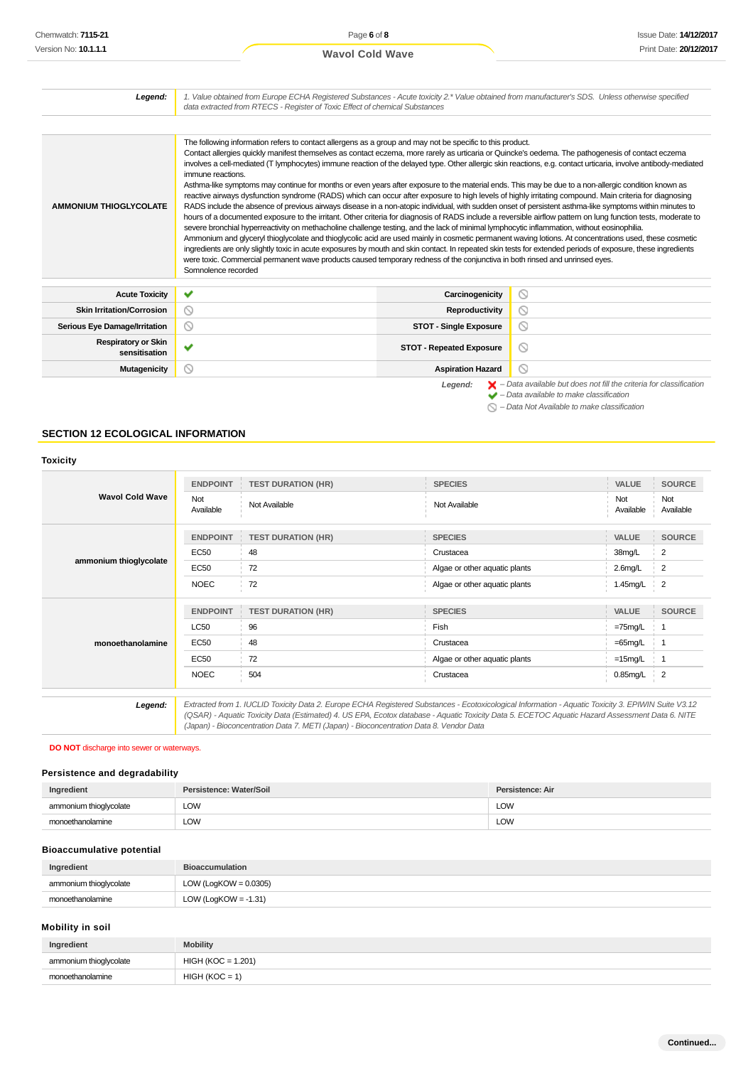| Chemwatch: <b>7115-21</b>                 |                                          | Page 6 of 8                                                                                                                                                                                                                                                                                                                                                                                                                                                                                                                                                                                                                                                                                                                                                                                                                                                                                                                                                                                                                                                                                                                                                                                                                                                                                                                                                                                                                                                                                                                                                                                                                                                                             |                                     |                                |                                                                                          | <b>Issue Date: 14/12/20</b> |
|-------------------------------------------|------------------------------------------|-----------------------------------------------------------------------------------------------------------------------------------------------------------------------------------------------------------------------------------------------------------------------------------------------------------------------------------------------------------------------------------------------------------------------------------------------------------------------------------------------------------------------------------------------------------------------------------------------------------------------------------------------------------------------------------------------------------------------------------------------------------------------------------------------------------------------------------------------------------------------------------------------------------------------------------------------------------------------------------------------------------------------------------------------------------------------------------------------------------------------------------------------------------------------------------------------------------------------------------------------------------------------------------------------------------------------------------------------------------------------------------------------------------------------------------------------------------------------------------------------------------------------------------------------------------------------------------------------------------------------------------------------------------------------------------------|-------------------------------------|--------------------------------|------------------------------------------------------------------------------------------|-----------------------------|
| Version No: <b>10.1.1.1</b>               |                                          | <b>Wavol Cold Wave</b>                                                                                                                                                                                                                                                                                                                                                                                                                                                                                                                                                                                                                                                                                                                                                                                                                                                                                                                                                                                                                                                                                                                                                                                                                                                                                                                                                                                                                                                                                                                                                                                                                                                                  |                                     |                                |                                                                                          | Print Date: 20/12/20        |
|                                           |                                          |                                                                                                                                                                                                                                                                                                                                                                                                                                                                                                                                                                                                                                                                                                                                                                                                                                                                                                                                                                                                                                                                                                                                                                                                                                                                                                                                                                                                                                                                                                                                                                                                                                                                                         |                                     |                                |                                                                                          |                             |
| Legend:                                   |                                          | 1. Value obtained from Europe ECHA Registered Substances - Acute toxicity 2.* Value obtained from manufacturer's SDS. Unless otherwise specified<br>data extracted from RTECS - Register of Toxic Effect of chemical Substances                                                                                                                                                                                                                                                                                                                                                                                                                                                                                                                                                                                                                                                                                                                                                                                                                                                                                                                                                                                                                                                                                                                                                                                                                                                                                                                                                                                                                                                         |                                     |                                |                                                                                          |                             |
|                                           |                                          |                                                                                                                                                                                                                                                                                                                                                                                                                                                                                                                                                                                                                                                                                                                                                                                                                                                                                                                                                                                                                                                                                                                                                                                                                                                                                                                                                                                                                                                                                                                                                                                                                                                                                         |                                     |                                |                                                                                          |                             |
| <b>AMMONIUM THIOGLYCOLATE</b>             | immune reactions.<br>Somnolence recorded | The following information refers to contact allergens as a group and may not be specific to this product.<br>Contact allergies quickly manifest themselves as contact eczema, more rarely as urticaria or Quincke's oedema. The pathogenesis of contact eczema<br>involves a cell-mediated (T lymphocytes) immune reaction of the delayed type. Other allergic skin reactions, e.g. contact urticaria, involve antibody-mediated<br>Asthma-like symptoms may continue for months or even years after exposure to the material ends. This may be due to a non-allergic condition known as<br>reactive airways dysfunction syndrome (RADS) which can occur after exposure to high levels of highly irritating compound. Main criteria for diagnosing<br>RADS include the absence of previous airways disease in a non-atopic individual, with sudden onset of persistent asthma-like symptoms within minutes to<br>hours of a documented exposure to the irritant. Other criteria for diagnosis of RADS include a reversible airflow pattern on lung function tests, moderate to<br>severe bronchial hyperreactivity on methacholine challenge testing, and the lack of minimal lymphocytic inflammation, without eosinophilia.<br>Ammonium and glyceryl thioglycolate and thioglycolic acid are used mainly in cosmetic permanent waving lotions. At concentrations used, these cosmetic<br>ingredients are only slightly toxic in acute exposures by mouth and skin contact. In repeated skin tests for extended periods of exposure, these ingredients<br>were toxic. Commercial permanent wave products caused temporary redness of the conjunctiva in both rinsed and unrinsed eyes. |                                     |                                |                                                                                          |                             |
| <b>Acute Toxicity</b>                     | ✔                                        |                                                                                                                                                                                                                                                                                                                                                                                                                                                                                                                                                                                                                                                                                                                                                                                                                                                                                                                                                                                                                                                                                                                                                                                                                                                                                                                                                                                                                                                                                                                                                                                                                                                                                         | Carcinogenicity                     | $\circ$                        |                                                                                          |                             |
| <b>Skin Irritation/Corrosion</b>          | $\circledcirc$                           |                                                                                                                                                                                                                                                                                                                                                                                                                                                                                                                                                                                                                                                                                                                                                                                                                                                                                                                                                                                                                                                                                                                                                                                                                                                                                                                                                                                                                                                                                                                                                                                                                                                                                         | <b>Reproductivity</b>               | $\circledcirc$                 |                                                                                          |                             |
| <b>Serious Eye Damage/Irritation</b>      | $\circledcirc$                           |                                                                                                                                                                                                                                                                                                                                                                                                                                                                                                                                                                                                                                                                                                                                                                                                                                                                                                                                                                                                                                                                                                                                                                                                                                                                                                                                                                                                                                                                                                                                                                                                                                                                                         | <b>STOT - Single Exposure</b>       | $\circledcirc$                 |                                                                                          |                             |
| <b>Respiratory or Skin</b>                | ✔                                        |                                                                                                                                                                                                                                                                                                                                                                                                                                                                                                                                                                                                                                                                                                                                                                                                                                                                                                                                                                                                                                                                                                                                                                                                                                                                                                                                                                                                                                                                                                                                                                                                                                                                                         | <b>STOT - Repeated Exposure</b>     | $\circledcirc$                 |                                                                                          |                             |
| sensitisation                             |                                          |                                                                                                                                                                                                                                                                                                                                                                                                                                                                                                                                                                                                                                                                                                                                                                                                                                                                                                                                                                                                                                                                                                                                                                                                                                                                                                                                                                                                                                                                                                                                                                                                                                                                                         |                                     |                                |                                                                                          |                             |
| <b>Mutagenicity</b>                       | $\circledcirc$                           |                                                                                                                                                                                                                                                                                                                                                                                                                                                                                                                                                                                                                                                                                                                                                                                                                                                                                                                                                                                                                                                                                                                                                                                                                                                                                                                                                                                                                                                                                                                                                                                                                                                                                         | <b>Aspiration Hazard</b><br>Legend: | $\circledcirc$                 | $\blacktriangleright$ - Data available but does not fill the criteria for classification |                             |
| <b>Toxicity</b>                           |                                          |                                                                                                                                                                                                                                                                                                                                                                                                                                                                                                                                                                                                                                                                                                                                                                                                                                                                                                                                                                                                                                                                                                                                                                                                                                                                                                                                                                                                                                                                                                                                                                                                                                                                                         |                                     |                                |                                                                                          |                             |
| <b>Wavol Cold Wave</b>                    | <b>ENDPOINT</b>                          | <b>TEST DURATION (HR)</b>                                                                                                                                                                                                                                                                                                                                                                                                                                                                                                                                                                                                                                                                                                                                                                                                                                                                                                                                                                                                                                                                                                                                                                                                                                                                                                                                                                                                                                                                                                                                                                                                                                                               | <b>SPECIES</b>                      |                                | VALUE                                                                                    | <b>SOURCE</b>               |
|                                           | Not<br>Available                         | Not Available                                                                                                                                                                                                                                                                                                                                                                                                                                                                                                                                                                                                                                                                                                                                                                                                                                                                                                                                                                                                                                                                                                                                                                                                                                                                                                                                                                                                                                                                                                                                                                                                                                                                           | Not Available                       |                                | Not<br>Available                                                                         | Not<br>Available            |
|                                           | <b>ENDPOINT</b>                          | <b>TEST DURATION (HR)</b>                                                                                                                                                                                                                                                                                                                                                                                                                                                                                                                                                                                                                                                                                                                                                                                                                                                                                                                                                                                                                                                                                                                                                                                                                                                                                                                                                                                                                                                                                                                                                                                                                                                               | <b>SPECIES</b>                      |                                | VALUE                                                                                    | <b>SOURCE</b>               |
|                                           | <b>EC50</b>                              | 48                                                                                                                                                                                                                                                                                                                                                                                                                                                                                                                                                                                                                                                                                                                                                                                                                                                                                                                                                                                                                                                                                                                                                                                                                                                                                                                                                                                                                                                                                                                                                                                                                                                                                      | Crustacea                           |                                | 38mg/L                                                                                   | 2                           |
| ammonium thioglycolate                    | <b>EC50</b>                              | 72                                                                                                                                                                                                                                                                                                                                                                                                                                                                                                                                                                                                                                                                                                                                                                                                                                                                                                                                                                                                                                                                                                                                                                                                                                                                                                                                                                                                                                                                                                                                                                                                                                                                                      | Algae or other aquatic plants       |                                | 2.6mg/L                                                                                  | 2                           |
|                                           | <b>NOEC</b>                              | 72                                                                                                                                                                                                                                                                                                                                                                                                                                                                                                                                                                                                                                                                                                                                                                                                                                                                                                                                                                                                                                                                                                                                                                                                                                                                                                                                                                                                                                                                                                                                                                                                                                                                                      | Algae or other aquatic plants       |                                | 1.45mg/L                                                                                 | 2                           |
|                                           | <b>ENDPOINT</b>                          | <b>TEST DURATION (HR)</b>                                                                                                                                                                                                                                                                                                                                                                                                                                                                                                                                                                                                                                                                                                                                                                                                                                                                                                                                                                                                                                                                                                                                                                                                                                                                                                                                                                                                                                                                                                                                                                                                                                                               | <b>SPECIES</b>                      |                                | VALUE                                                                                    | <b>SOURCE</b>               |
|                                           | <b>LC50</b>                              | 96                                                                                                                                                                                                                                                                                                                                                                                                                                                                                                                                                                                                                                                                                                                                                                                                                                                                                                                                                                                                                                                                                                                                                                                                                                                                                                                                                                                                                                                                                                                                                                                                                                                                                      | Fish                                |                                | $=75$ mg/L                                                                               | 1                           |
| monoethanolamine                          | EC50                                     | 48                                                                                                                                                                                                                                                                                                                                                                                                                                                                                                                                                                                                                                                                                                                                                                                                                                                                                                                                                                                                                                                                                                                                                                                                                                                                                                                                                                                                                                                                                                                                                                                                                                                                                      | Crustacea                           |                                | $=65$ mg/L                                                                               | 1                           |
|                                           | <b>EC50</b>                              | 72                                                                                                                                                                                                                                                                                                                                                                                                                                                                                                                                                                                                                                                                                                                                                                                                                                                                                                                                                                                                                                                                                                                                                                                                                                                                                                                                                                                                                                                                                                                                                                                                                                                                                      | Algae or other aquatic plants       |                                | $=15mg/L$                                                                                | $\overline{1}$              |
|                                           | <b>NOEC</b>                              | 504<br>Crustacea                                                                                                                                                                                                                                                                                                                                                                                                                                                                                                                                                                                                                                                                                                                                                                                                                                                                                                                                                                                                                                                                                                                                                                                                                                                                                                                                                                                                                                                                                                                                                                                                                                                                        |                                     | $0.85$ mg/L                    | 2                                                                                        |                             |
| Legend:                                   |                                          | Extracted from 1. IUCLID Toxicity Data 2. Europe ECHA Registered Substances - Ecotoxicological Information - Aquatic Toxicity 3. EPIWIN Suite V3.12<br>(QSAR) - Aquatic Toxicity Data (Estimated) 4. US EPA, Ecotox database - Aquatic Toxicity Data 5. ECETOC Aquatic Hazard Assessment Data 6. NITE<br>(Japan) - Bioconcentration Data 7. METI (Japan) - Bioconcentration Data 8. Vendor Data                                                                                                                                                                                                                                                                                                                                                                                                                                                                                                                                                                                                                                                                                                                                                                                                                                                                                                                                                                                                                                                                                                                                                                                                                                                                                         |                                     |                                |                                                                                          |                             |
| DO NOT discharge into sewer or waterways. |                                          |                                                                                                                                                                                                                                                                                                                                                                                                                                                                                                                                                                                                                                                                                                                                                                                                                                                                                                                                                                                                                                                                                                                                                                                                                                                                                                                                                                                                                                                                                                                                                                                                                                                                                         |                                     |                                |                                                                                          |                             |
| Persistence and degradability             |                                          |                                                                                                                                                                                                                                                                                                                                                                                                                                                                                                                                                                                                                                                                                                                                                                                                                                                                                                                                                                                                                                                                                                                                                                                                                                                                                                                                                                                                                                                                                                                                                                                                                                                                                         |                                     |                                |                                                                                          |                             |
| Ingredient<br>ammonium thioglycolate      | Persistence: Water/Soil<br>LOW           |                                                                                                                                                                                                                                                                                                                                                                                                                                                                                                                                                                                                                                                                                                                                                                                                                                                                                                                                                                                                                                                                                                                                                                                                                                                                                                                                                                                                                                                                                                                                                                                                                                                                                         |                                     | Persistence: Air<br><b>LOW</b> |                                                                                          |                             |
| monoethanolamine                          | <b>LOW</b>                               |                                                                                                                                                                                                                                                                                                                                                                                                                                                                                                                                                                                                                                                                                                                                                                                                                                                                                                                                                                                                                                                                                                                                                                                                                                                                                                                                                                                                                                                                                                                                                                                                                                                                                         |                                     | <b>LOW</b>                     |                                                                                          |                             |
|                                           |                                          |                                                                                                                                                                                                                                                                                                                                                                                                                                                                                                                                                                                                                                                                                                                                                                                                                                                                                                                                                                                                                                                                                                                                                                                                                                                                                                                                                                                                                                                                                                                                                                                                                                                                                         |                                     |                                |                                                                                          |                             |
| <b>Bioaccumulative potential</b>          |                                          |                                                                                                                                                                                                                                                                                                                                                                                                                                                                                                                                                                                                                                                                                                                                                                                                                                                                                                                                                                                                                                                                                                                                                                                                                                                                                                                                                                                                                                                                                                                                                                                                                                                                                         |                                     |                                |                                                                                          |                             |
| Ingredient                                | <b>Bioaccumulation</b>                   |                                                                                                                                                                                                                                                                                                                                                                                                                                                                                                                                                                                                                                                                                                                                                                                                                                                                                                                                                                                                                                                                                                                                                                                                                                                                                                                                                                                                                                                                                                                                                                                                                                                                                         |                                     |                                |                                                                                          |                             |
| ammonium thioglycolate                    | LOW (LogKOW = $0.0305$ )                 |                                                                                                                                                                                                                                                                                                                                                                                                                                                                                                                                                                                                                                                                                                                                                                                                                                                                                                                                                                                                                                                                                                                                                                                                                                                                                                                                                                                                                                                                                                                                                                                                                                                                                         |                                     |                                |                                                                                          |                             |
| monoethanolamine                          | LOW (LogKOW = $-1.31$ )                  |                                                                                                                                                                                                                                                                                                                                                                                                                                                                                                                                                                                                                                                                                                                                                                                                                                                                                                                                                                                                                                                                                                                                                                                                                                                                                                                                                                                                                                                                                                                                                                                                                                                                                         |                                     |                                |                                                                                          |                             |
| Mobility in soil                          |                                          |                                                                                                                                                                                                                                                                                                                                                                                                                                                                                                                                                                                                                                                                                                                                                                                                                                                                                                                                                                                                                                                                                                                                                                                                                                                                                                                                                                                                                                                                                                                                                                                                                                                                                         |                                     |                                |                                                                                          |                             |
| Ingredient                                | <b>Mobility</b>                          |                                                                                                                                                                                                                                                                                                                                                                                                                                                                                                                                                                                                                                                                                                                                                                                                                                                                                                                                                                                                                                                                                                                                                                                                                                                                                                                                                                                                                                                                                                                                                                                                                                                                                         |                                     |                                |                                                                                          |                             |
| ammonium thioglycolate                    | $HIGH (KOC = 1.201)$                     |                                                                                                                                                                                                                                                                                                                                                                                                                                                                                                                                                                                                                                                                                                                                                                                                                                                                                                                                                                                                                                                                                                                                                                                                                                                                                                                                                                                                                                                                                                                                                                                                                                                                                         |                                     |                                |                                                                                          |                             |
| monoethanolamine                          | $HIGH (KOC = 1)$                         |                                                                                                                                                                                                                                                                                                                                                                                                                                                                                                                                                                                                                                                                                                                                                                                                                                                                                                                                                                                                                                                                                                                                                                                                                                                                                                                                                                                                                                                                                                                                                                                                                                                                                         |                                     |                                |                                                                                          |                             |

### **SECTION 12 ECOLOGICAL INFORMATION**

### **Toxicity**

| <b>Wavol Cold Wave</b> | <b>ENDPOINT</b>  | <b>TEST DURATION (HR)</b> | <b>SPECIES</b>                | VALUE            | <b>SOURCE</b>    |
|------------------------|------------------|---------------------------|-------------------------------|------------------|------------------|
|                        | Not<br>Available | Not Available             | Not Available                 | Not<br>Available | Not<br>Available |
| ammonium thioglycolate | <b>ENDPOINT</b>  | <b>TEST DURATION (HR)</b> | <b>SPECIES</b>                | <b>VALUE</b>     | <b>SOURCE</b>    |
|                        | <b>EC50</b>      | 48                        | Crustacea                     | 38mg/L           | 2                |
|                        | <b>EC50</b>      | 72                        | Algae or other aquatic plants | $2.6$ mg/L       | 2                |
|                        | <b>NOEC</b>      | 72                        | Algae or other aquatic plants | 1.45mg/L         | $\overline{2}$   |
| monoethanolamine       | <b>ENDPOINT</b>  | <b>TEST DURATION (HR)</b> | <b>SPECIES</b>                | VALUE            | <b>SOURCE</b>    |
|                        | <b>LC50</b>      | 96                        | Fish                          | $=75$ mg/L       |                  |
|                        | <b>EC50</b>      | 48                        | Crustacea                     | $=65$ mg/L       |                  |
|                        | <b>EC50</b>      | 72                        | Algae or other aquatic plants | $=15$ mg/L       |                  |
|                        |                  |                           |                               | $0.85$ mg/L      | $\frac{1}{2}$    |

### **DO NOT** discharge into sewer or waterways.

### **Persistence and degradability**

| Ingredient             | Persistence: Water/Soil | Persistence: Air |
|------------------------|-------------------------|------------------|
| ammonium thioglycolate | LOW                     | LOW              |
| pethanolamine          | LOW                     | LOW<br>$\sim$    |

### **Bioaccumulative potential**

| Ingredient             | <b>Bioaccumulation</b>   |
|------------------------|--------------------------|
| ammonium thioglycolate | LOW (LogKOW = $0.0305$ ) |
| monoethanolamine       | LOW (LogKOW = $-1.31$ )  |

#### **Mobility in soil**

| Ingredient             | <b>Mobility</b>      |
|------------------------|----------------------|
| ammonium thioglycolate | $HIGH (KOC = 1.201)$ |
| monoethanolamine       | $HIGH (KOC = 1)$     |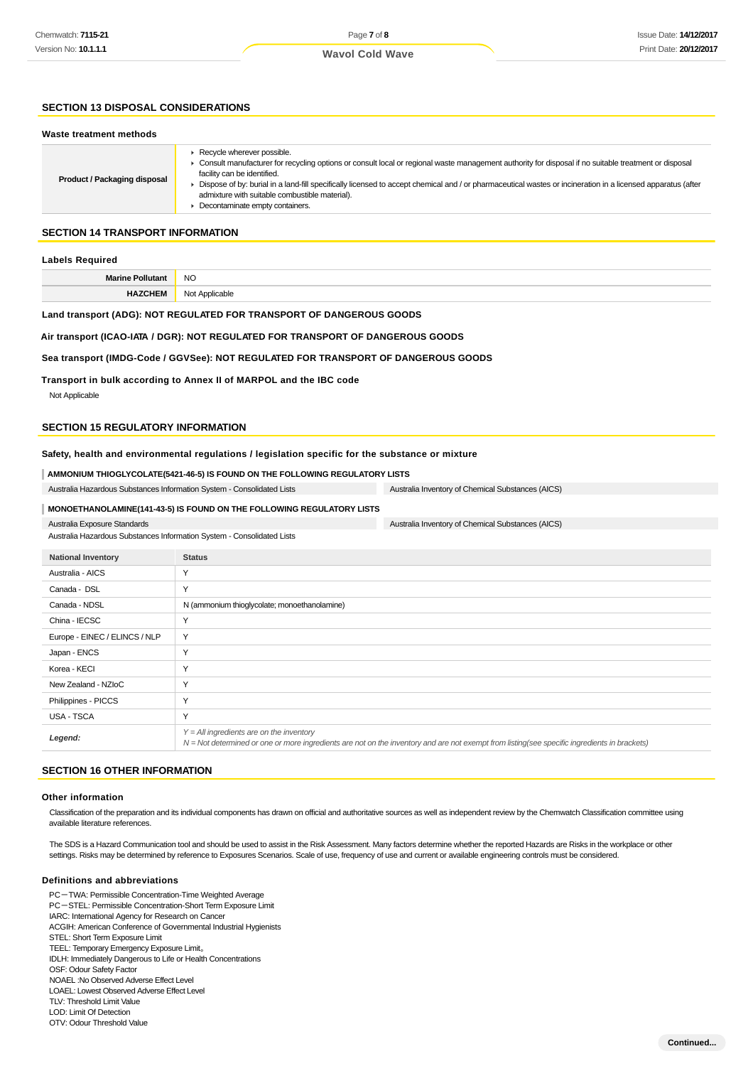### **SECTION 13 DISPOSAL CONSIDERATIONS**

#### **Waste treatment methods**

| <b>Product / Packaging disposal</b> | Recycle wherever possible.<br>► Consult manufacturer for recycling options or consult local or regional waste management authority for disposal if no suitable treatment or disposal<br>facility can be identified.<br>Dispose of by: burial in a land-fill specifically licensed to accept chemical and / or pharmaceutical wastes or incineration in a licensed apparatus (after<br>admixture with suitable combustible material).<br>Decontaminate empty containers. |
|-------------------------------------|-------------------------------------------------------------------------------------------------------------------------------------------------------------------------------------------------------------------------------------------------------------------------------------------------------------------------------------------------------------------------------------------------------------------------------------------------------------------------|
|                                     |                                                                                                                                                                                                                                                                                                                                                                                                                                                                         |

### **SECTION 14 TRANSPORT INFORMATION**

#### **Labels Required**

| Marine Pollu<br>ollutant<br>Mid | <b>NO</b>      |
|---------------------------------|----------------|
| HA.<br><b>ZCHEM</b>             | Not Applicable |

#### **Land transport (ADG): NOT REGULATED FOR TRANSPORT OF DANGEROUS GOODS**

#### **Air transport (ICAO-IATA / DGR): NOT REGULATED FOR TRANSPORT OF DANGEROUS GOODS**

#### **Sea transport (IMDG-Code / GGVSee): NOT REGULATED FOR TRANSPORT OF DANGEROUS GOODS**

**Transport in bulk according to Annex II of MARPOL and the IBC code**

Not Applicable

### **SECTION 15 REGULATORY INFORMATION**

#### **Safety, health and environmental regulations / legislation specific for the substance or mixture**

|  | └ AMMONIUM THIOGLYCOLATE(5421-46-5) IS FOUND ON THE FOLLOWING REGULATORY LISTS |
|--|--------------------------------------------------------------------------------|
|  |                                                                                |

| Australia Hazardous Substances Information System - Consolidated Lists | Australia Inventory of Chemical Substances (AICS) |
|------------------------------------------------------------------------|---------------------------------------------------|
| MONOETHANOLAMINE(141-43-5) IS FOUND ON THE FOLLOWING REGULATORY LISTS  |                                                   |

### Australia Exposure Standards

Australia Hazardous Substances Information System - Consolidated Lists

| <b>National Inventory</b>     | <b>Status</b>                                                                                                                                                                                |
|-------------------------------|----------------------------------------------------------------------------------------------------------------------------------------------------------------------------------------------|
| Australia - AICS              | Υ                                                                                                                                                                                            |
| Canada - DSL                  | Υ                                                                                                                                                                                            |
| Canada - NDSL                 | N (ammonium thioglycolate; monoethanolamine)                                                                                                                                                 |
| China - IECSC                 | Υ                                                                                                                                                                                            |
| Europe - EINEC / ELINCS / NLP | Y                                                                                                                                                                                            |
| Japan - ENCS                  | Υ                                                                                                                                                                                            |
| Korea - KECI                  | v                                                                                                                                                                                            |
| New Zealand - NZIoC           | Υ                                                                                                                                                                                            |
| Philippines - PICCS           | Υ                                                                                                                                                                                            |
| USA - TSCA                    | Υ                                                                                                                                                                                            |
| Legend:                       | $Y = All$ ingredients are on the inventory<br>$N = Not$ determined or one or more ingredients are not on the inventory and are not exempt from listing(see specific ingredients in brackets) |

Australia Inventory of Chemical Substances (AICS)

#### **SECTION 16 OTHER INFORMATION**

#### **Other information**

Classification of the preparation and its individual components has drawn on official and authoritative sources as well as independent review by the Chemwatch Classification committee using available literature references.

The SDS is a Hazard Communication tool and should be used to assist in the Risk Assessment. Many factors determine whether the reported Hazards are Risks in the workplace or other settings. Risks may be determined by reference to Exposures Scenarios. Scale of use, frequency of use and current or available engineering controls must be considered.

#### **Definitions and abbreviations**

PC-TWA: Permissible Concentration-Time Weighted Average PC-STEL: Permissible Concentration-Short Term Exposure Limit IARC: International Agency for Research on Cancer ACGIH: American Conference of Governmental Industrial Hygienists STEL: Short Term Exposure Limit TEEL: Temporary Emergency Exposure Limit。 IDLH: Immediately Dangerous to Life or Health Concentrations OSF: Odour Safety Factor NOAEL :No Observed Adverse Effect Level LOAEL: Lowest Observed Adverse Effect Level TLV: Threshold Limit Value LOD: Limit Of Detection

| OTV: Odour Threshold Value |
|----------------------------|
|                            |